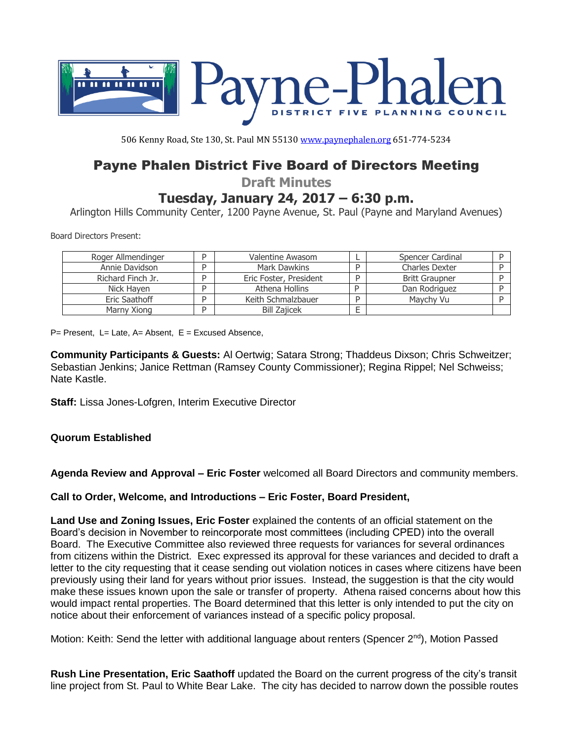

506 Kenny Road, Ste 130, St. Paul MN 55130 [www.paynephalen.org](http://www.paynephalen.org/) 651-774-5234

# Payne Phalen District Five Board of Directors Meeting

**Draft Minutes**

# **Tuesday, January 24, 2017 – 6:30 p.m.**

Arlington Hills Community Center, 1200 Payne Avenue, St. Paul (Payne and Maryland Avenues)

Board Directors Present:

| Roger Allmendinger | Valentine Awasom       |   | Spencer Cardinal      |  |
|--------------------|------------------------|---|-----------------------|--|
| Annie Davidson     | Mark Dawkins           |   | <b>Charles Dexter</b> |  |
| Richard Finch Jr.  | Eric Foster, President | D | <b>Britt Graupner</b> |  |
| Nick Haven         | Athena Hollins         | D | Dan Rodriguez         |  |
| Eric Saathoff      | Keith Schmalzbauer     | D | Maychy Vu             |  |
| Marny Xiong        | <b>Bill Zajicek</b>    |   |                       |  |

 $P=$  Present, L= Late, A= Absent, E = Excused Absence,

**Community Participants & Guests:** Al Oertwig; Satara Strong; Thaddeus Dixson; Chris Schweitzer; Sebastian Jenkins; Janice Rettman (Ramsey County Commissioner); Regina Rippel; Nel Schweiss; Nate Kastle.

**Staff:** Lissa Jones-Lofgren, Interim Executive Director

# **Quorum Established**

**Agenda Review and Approval – Eric Foster** welcomed all Board Directors and community members.

**Call to Order, Welcome, and Introductions – Eric Foster, Board President,** 

**Land Use and Zoning Issues, Eric Foster** explained the contents of an official statement on the Board's decision in November to reincorporate most committees (including CPED) into the overall Board. The Executive Committee also reviewed three requests for variances for several ordinances from citizens within the District. Exec expressed its approval for these variances and decided to draft a letter to the city requesting that it cease sending out violation notices in cases where citizens have been previously using their land for years without prior issues. Instead, the suggestion is that the city would make these issues known upon the sale or transfer of property. Athena raised concerns about how this would impact rental properties. The Board determined that this letter is only intended to put the city on notice about their enforcement of variances instead of a specific policy proposal.

Motion: Keith: Send the letter with additional language about renters (Spencer 2<sup>nd</sup>), Motion Passed

**Rush Line Presentation, Eric Saathoff** updated the Board on the current progress of the city's transit line project from St. Paul to White Bear Lake. The city has decided to narrow down the possible routes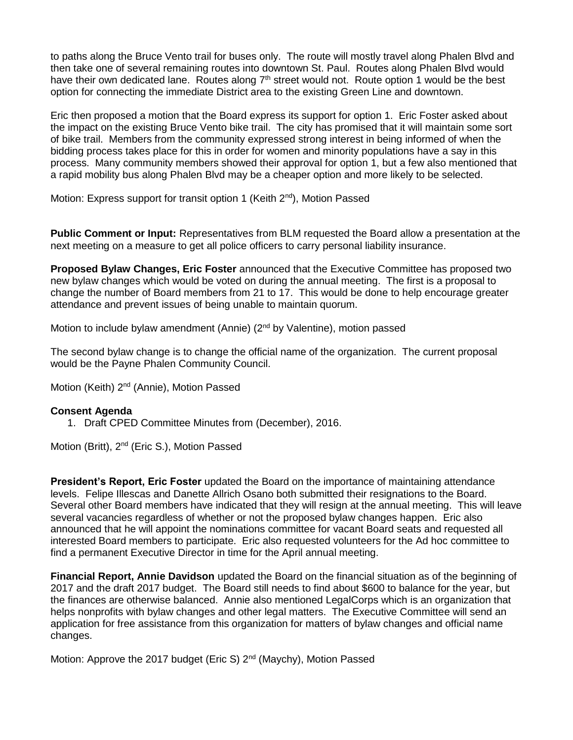to paths along the Bruce Vento trail for buses only. The route will mostly travel along Phalen Blvd and then take one of several remaining routes into downtown St. Paul. Routes along Phalen Blvd would have their own dedicated lane. Routes along 7<sup>th</sup> street would not. Route option 1 would be the best option for connecting the immediate District area to the existing Green Line and downtown.

Eric then proposed a motion that the Board express its support for option 1. Eric Foster asked about the impact on the existing Bruce Vento bike trail. The city has promised that it will maintain some sort of bike trail. Members from the community expressed strong interest in being informed of when the bidding process takes place for this in order for women and minority populations have a say in this process. Many community members showed their approval for option 1, but a few also mentioned that a rapid mobility bus along Phalen Blvd may be a cheaper option and more likely to be selected.

Motion: Express support for transit option 1 (Keith 2<sup>nd</sup>), Motion Passed

**Public Comment or Input:** Representatives from BLM requested the Board allow a presentation at the next meeting on a measure to get all police officers to carry personal liability insurance.

**Proposed Bylaw Changes, Eric Foster** announced that the Executive Committee has proposed two new bylaw changes which would be voted on during the annual meeting. The first is a proposal to change the number of Board members from 21 to 17. This would be done to help encourage greater attendance and prevent issues of being unable to maintain quorum.

Motion to include bylaw amendment (Annie) (2<sup>nd</sup> by Valentine), motion passed

The second bylaw change is to change the official name of the organization. The current proposal would be the Payne Phalen Community Council.

Motion (Keith) 2<sup>nd</sup> (Annie), Motion Passed

#### **Consent Agenda**

1. Draft CPED Committee Minutes from (December), 2016.

Motion (Britt), 2<sup>nd</sup> (Eric S.), Motion Passed

**President's Report, Eric Foster** updated the Board on the importance of maintaining attendance levels. Felipe Illescas and Danette Allrich Osano both submitted their resignations to the Board. Several other Board members have indicated that they will resign at the annual meeting. This will leave several vacancies regardless of whether or not the proposed bylaw changes happen. Eric also announced that he will appoint the nominations committee for vacant Board seats and requested all interested Board members to participate. Eric also requested volunteers for the Ad hoc committee to find a permanent Executive Director in time for the April annual meeting.

**Financial Report, Annie Davidson** updated the Board on the financial situation as of the beginning of 2017 and the draft 2017 budget. The Board still needs to find about \$600 to balance for the year, but the finances are otherwise balanced. Annie also mentioned LegalCorps which is an organization that helps nonprofits with bylaw changes and other legal matters. The Executive Committee will send an application for free assistance from this organization for matters of bylaw changes and official name changes.

Motion: Approve the 2017 budget (Eric S)  $2^{nd}$  (Maychy), Motion Passed